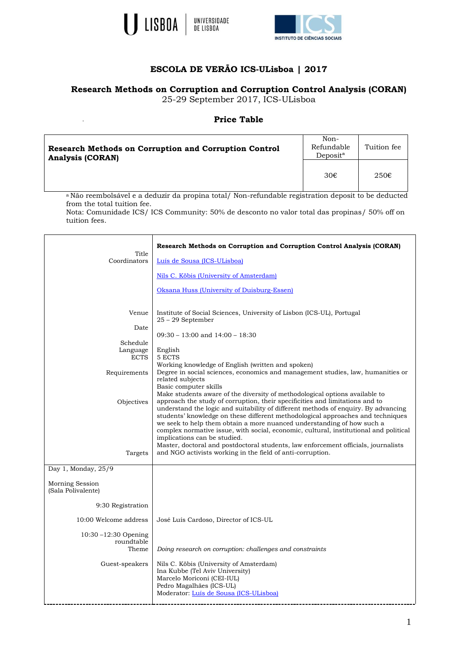



## **ESCOLA DE VERÃO ICS-ULisboa | 2017**

## **Research Methods on Corruption and Corruption Control Analysis (CORAN)**

25-29 September 2017, ICS-ULisboa

## **Price Table**

| <b>Research Methods on Corruption and Corruption Control</b><br><b>Analysis (CORAN)</b> | Non-<br>Refundable<br>Deposit <sup>a</sup> | Tuition fee    |
|-----------------------------------------------------------------------------------------|--------------------------------------------|----------------|
|                                                                                         | 30€                                        | $250 \epsilon$ |

<sup>a</sup> Não reembolsável e a deduzir da propina total/ Non-refundable registration deposit to be deducted from the total tuition fee.

Nota: Comunidade ICS/ ICS Community: 50% de desconto no valor total das propinas/ 50% off on tuition fees.

|                                                | <b>Research Methods on Corruption and Corruption Control Analysis (CORAN)</b>                                                                                                                                                                                                                                                                                                                                                                                                                                                    |
|------------------------------------------------|----------------------------------------------------------------------------------------------------------------------------------------------------------------------------------------------------------------------------------------------------------------------------------------------------------------------------------------------------------------------------------------------------------------------------------------------------------------------------------------------------------------------------------|
| Title<br>Coordinators                          | Luís de Sousa (ICS-ULisboa)                                                                                                                                                                                                                                                                                                                                                                                                                                                                                                      |
|                                                | Nils C. Köbis (University of Amsterdam)                                                                                                                                                                                                                                                                                                                                                                                                                                                                                          |
|                                                | Oksana Huss (University of Duisburg-Essen)                                                                                                                                                                                                                                                                                                                                                                                                                                                                                       |
| Venue                                          | Institute of Social Sciences, University of Lisbon (ICS-UL), Portugal<br>25 - 29 September                                                                                                                                                                                                                                                                                                                                                                                                                                       |
| Date                                           | $09:30 - 13:00$ and $14:00 - 18:30$                                                                                                                                                                                                                                                                                                                                                                                                                                                                                              |
| Schedule<br>Language<br><b>ECTS</b>            | English<br>5 ECTS                                                                                                                                                                                                                                                                                                                                                                                                                                                                                                                |
| Requirements                                   | Working knowledge of English (written and spoken)<br>Degree in social sciences, economics and management studies, law, humanities or<br>related subjects                                                                                                                                                                                                                                                                                                                                                                         |
| Objectives                                     | Basic computer skills<br>Make students aware of the diversity of methodological options available to<br>approach the study of corruption, their specificities and limitations and to<br>understand the logic and suitability of different methods of enquiry. By advancing<br>students' knowledge on these different methodological approaches and techniques<br>we seek to help them obtain a more nuanced understanding of how such a<br>complex normative issue, with social, economic, cultural, institutional and political |
| Targets                                        | implications can be studied.<br>Master, doctoral and postdoctoral students, law enforcement officials, journalists<br>and NGO activists working in the field of anti-corruption.                                                                                                                                                                                                                                                                                                                                                 |
| Day 1, Monday, 25/9                            |                                                                                                                                                                                                                                                                                                                                                                                                                                                                                                                                  |
| Morning Session<br>(Sala Polivalente)          |                                                                                                                                                                                                                                                                                                                                                                                                                                                                                                                                  |
| 9:30 Registration                              |                                                                                                                                                                                                                                                                                                                                                                                                                                                                                                                                  |
| 10:00 Welcome address                          | José Luís Cardoso, Director of ICS-UL                                                                                                                                                                                                                                                                                                                                                                                                                                                                                            |
| $10:30 - 12:30$ Opening<br>roundtable<br>Theme | Doing research on corruption: challenges and constraints                                                                                                                                                                                                                                                                                                                                                                                                                                                                         |
| Guest-speakers                                 | Nils C. Köbis (University of Amsterdam)<br>Ina Kubbe (Tel Aviv University)<br>Marcelo Moriconi (CEI-IUL)<br>Pedro Magalhães (ICS-UL)<br>Moderator: Luís de Sousa (ICS-ULisboa)                                                                                                                                                                                                                                                                                                                                                   |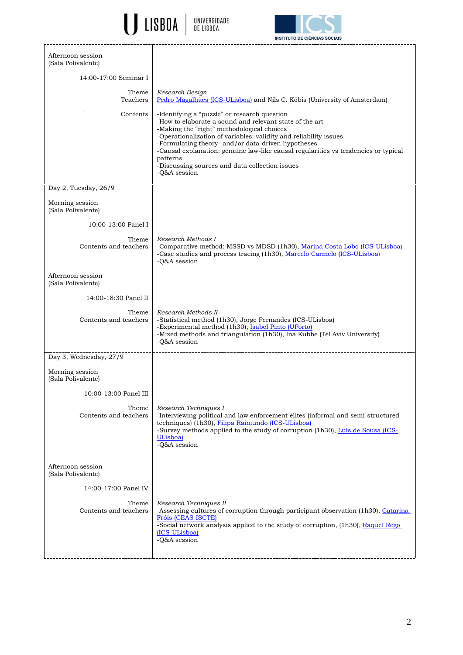U LISBOA | UNIVERSIDADE



| Afternoon session<br>(Sala Polivalente) |                                                                                                                                                                                                                                                                                                                                                                                                                                                      |
|-----------------------------------------|------------------------------------------------------------------------------------------------------------------------------------------------------------------------------------------------------------------------------------------------------------------------------------------------------------------------------------------------------------------------------------------------------------------------------------------------------|
| 14:00-17:00 Seminar I                   |                                                                                                                                                                                                                                                                                                                                                                                                                                                      |
| Theme<br>Teachers                       | Research Design<br>Pedro Magalhães (ICS-ULisboa) and Nils C. Köbis (University of Amsterdam)                                                                                                                                                                                                                                                                                                                                                         |
| Contents                                | -Identifying a "puzzle" or research question<br>-How to elaborate a sound and relevant state of the art<br>-Making the "right" methodological choices<br>-Operationalization of variables: validity and reliability issues<br>-Formulating theory- and/or data-driven hypotheses<br>-Causal explanation: genuine law-like causal regularities vs tendencies or typical<br>patterns<br>-Discussing sources and data collection issues<br>-Q&A session |
| Day 2, Tuesday, 26/9                    |                                                                                                                                                                                                                                                                                                                                                                                                                                                      |
| Morning session<br>(Sala Polivalente)   |                                                                                                                                                                                                                                                                                                                                                                                                                                                      |
| 10:00-13:00 Panel I                     |                                                                                                                                                                                                                                                                                                                                                                                                                                                      |
| Theme<br>Contents and teachers          | Research Methods I<br>-Comparative method: MSSD vs MDSD (1h30), Marina Costa Lobo (ICS-ULisboa)<br>-Case studies and process tracing (1h30), Marcelo Carmelo (ICS-ULisboa)<br>-O&A session                                                                                                                                                                                                                                                           |
| Afternoon session<br>(Sala Polivalente) |                                                                                                                                                                                                                                                                                                                                                                                                                                                      |
| 14:00-18:30 Panel II                    |                                                                                                                                                                                                                                                                                                                                                                                                                                                      |
| Theme<br>Contents and teachers          | Research Methods II<br>-Statistical method (1h30), Jorge Fernandes (ICS-ULisboa)<br>-Experimental method (1h30), Isabel Pinto (UPorto)<br>-Mixed methods and triangulation (1h30), Ina Kubbe (Tel Aviv University)<br>-Q&A session                                                                                                                                                                                                                   |
| Day 3, Wednesday, 27/9                  |                                                                                                                                                                                                                                                                                                                                                                                                                                                      |
| Morning session<br>(Sala Polivalente)   |                                                                                                                                                                                                                                                                                                                                                                                                                                                      |
| 10:00-13:00 Panel III                   |                                                                                                                                                                                                                                                                                                                                                                                                                                                      |
| Theme<br>Contents and teachers          | Research Techniques I<br>-Interviewing political and law enforcement elites (informal and semi-structured<br>techniques) (1h30), Filipa Raimundo (ICS-ULisboa)<br>-Survey methods applied to the study of corruption (1h30), Luís de Sousa (ICS-<br>ULisboa)<br>-Q&A session                                                                                                                                                                         |
| Afternoon session<br>(Sala Polivalente) |                                                                                                                                                                                                                                                                                                                                                                                                                                                      |
| 14:00-17:00 Panel IV                    |                                                                                                                                                                                                                                                                                                                                                                                                                                                      |
| Theme<br>Contents and teachers          | Research Techniques II<br>-Assessing cultures of corruption through participant observation (1h30), Catarina<br>Fróis (CEAS-ISCTE)<br>-Social network analysis applied to the study of corruption, (1h30), Raquel Rego<br>(ICS-ULisboa)<br>-Q&A session                                                                                                                                                                                              |